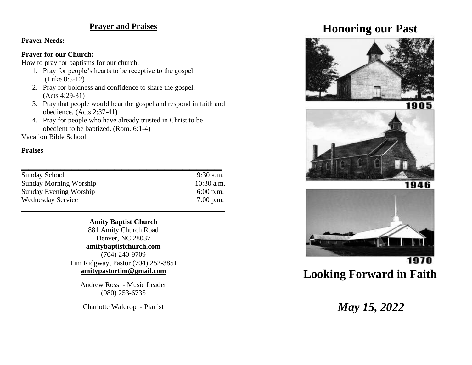### **Prayer and Praises**

#### **Prayer Needs:**

#### **Prayer for our Church:**

How to pray for baptisms for our church.

- 1. Pray for people's hearts to be receptive to the gospel. (Luke 8:5-12)
- 2. Pray for boldness and confidence to share the gospel. (Acts 4:29-31)
- 3. Pray that people would hear the gospel and respond in faith and obedience. (Acts 2:37-41)
- 4. Pray for people who have already trusted in Christ to be obedient to be baptized. (Rom. 6:1-4)

Vacation Bible School

#### **Praises**

| $10:30$ a.m. |
|--------------|
| $6:00$ p.m.  |
| $7:00$ p.m.  |
|              |

#### **Amity Baptist Church**

881 Amity Church Road Denver, NC 28037 **amitybaptistchurch.com** (704) 240-9709 Tim Ridgway, Pastor (704) 252-3851 **[amitypastortim@gmail.com](mailto:amitypastortim@gmail.com)**

Andrew Ross - Music Leader (980) 253-6735

Charlotte Waldrop - Pianist

## **Honoring our Past**





1970 **Looking Forward in Faith**

# *May 15, 2022*